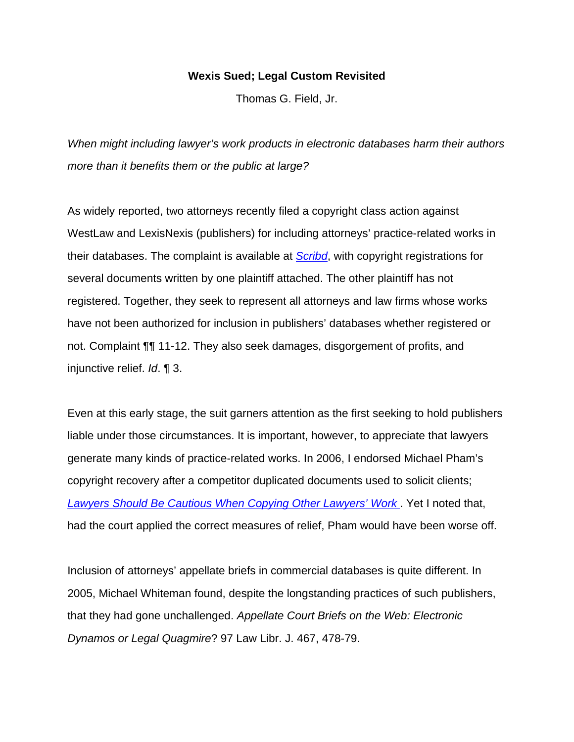## **Wexis Sued; Legal Custom Revisited**

Thomas G. Field, Jr.

*When might including lawyer's work products in electronic databases harm their authors more than it benefits them or the public at large?*

As widely reported, two attorneys recently filed a copyright class action against WestLaw and LexisNexis (publishers) for including attorneys' practice-related works in their databases. The complaint is available at *Scribd*, with copyright registrations for several documents written by one plaintiff attached. The other plaintiff has not registered. Together, they seek to represent all attorneys and law firms whose works have not been authorized for inclusion in publishers' databases whether registered or not. Complaint ¶¶ 11-12. They also seek damages, disgorgement of profits, and injunctive relief. *Id*. ¶ 3.

Even at this early stage, the suit garners attention as the first seeking to hold publishers liable under those circumstances. It is important, however, to appreciate that lawyers generate many kinds of practice-related works. In 2006, I endorsed Michael Pham's copyright recovery after a competitor duplicated documents used to solicit clients; *Lawyers Should Be Cautious When Copying Other Lawyers' Work* . Yet I noted that, had the court applied the correct measures of relief, Pham would have been worse off.

Inclusion of attorneys' appellate briefs in commercial databases is quite different. In 2005, Michael Whiteman found, despite the longstanding practices of such publishers, that they had gone unchallenged. *Appellate Court Briefs on the Web: Electronic Dynamos or Legal Quagmire*? 97 Law Libr. J. 467, 478-79.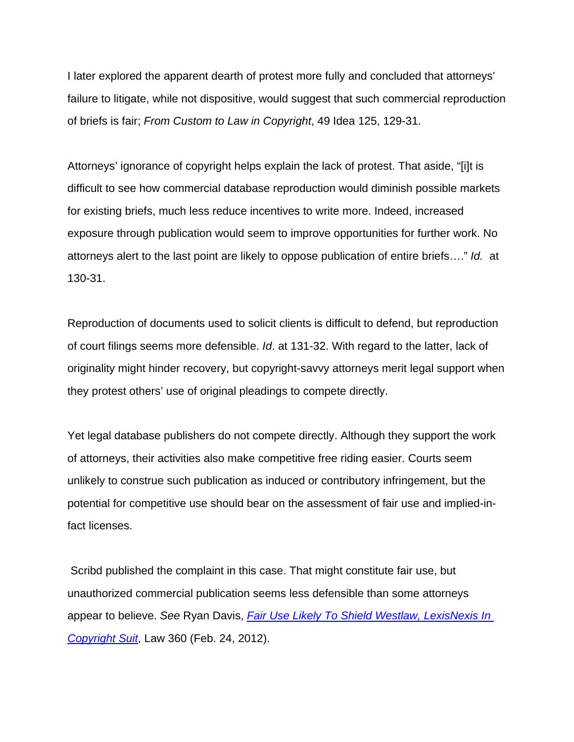I later explored the apparent dearth of protest more fully and concluded that attorneys' failure to litigate, while not dispositive, would suggest that such commercial reproduction of briefs is fair; *From Custom to Law in Copyright*, 49 Idea 125, 129-31.

Attorneys' ignorance of copyright helps explain the lack of protest. That aside, "[i]t is difficult to see how commercial database reproduction would diminish possible markets for existing briefs, much less reduce incentives to write more. Indeed, increased exposure through publication would seem to improve opportunities for further work. No attorneys alert to the last point are likely to oppose publication of entire briefs…." *Id.* at 130-31.

Reproduction of documents used to solicit clients is difficult to defend, but reproduction of court filings seems more defensible. *Id*. at 131-32. With regard to the latter, lack of originality might hinder recovery, but copyright-savvy attorneys merit legal support when they protest others' use of original pleadings to compete directly.

Yet legal database publishers do not compete directly. Although they support the work of attorneys, their activities also make competitive free riding easier. Courts seem unlikely to construe such publication as induced or contributory infringement, but the potential for competitive use should bear on the assessment of fair use and implied-infact licenses.

 Scribd published the complaint in this case. That might constitute fair use, but unauthorized commercial publication seems less defensible than some attorneys appear to believe. *See* Ryan Davis, *Fair Use Likely To Shield Westlaw, LexisNexis In Copyright Suit*, Law 360 (Feb. 24, 2012).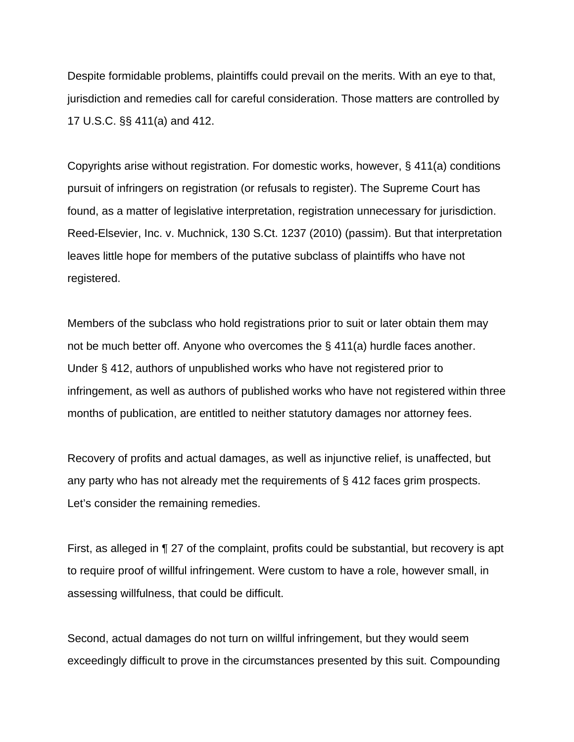Despite formidable problems, plaintiffs could prevail on the merits. With an eye to that, jurisdiction and remedies call for careful consideration. Those matters are controlled by 17 U.S.C. §§ 411(a) and 412.

Copyrights arise without registration. For domestic works, however, § 411(a) conditions pursuit of infringers on registration (or refusals to register). The Supreme Court has found, as a matter of legislative interpretation, registration unnecessary for jurisdiction. Reed-Elsevier, Inc. v. Muchnick, 130 S.Ct. 1237 (2010) (passim). But that interpretation leaves little hope for members of the putative subclass of plaintiffs who have not registered.

Members of the subclass who hold registrations prior to suit or later obtain them may not be much better off. Anyone who overcomes the § 411(a) hurdle faces another. Under § 412, authors of unpublished works who have not registered prior to infringement, as well as authors of published works who have not registered within three months of publication, are entitled to neither statutory damages nor attorney fees.

Recovery of profits and actual damages, as well as injunctive relief, is unaffected, but any party who has not already met the requirements of § 412 faces grim prospects. Let's consider the remaining remedies.

First, as alleged in ¶ 27 of the complaint, profits could be substantial, but recovery is apt to require proof of willful infringement. Were custom to have a role, however small, in assessing willfulness, that could be difficult.

Second, actual damages do not turn on willful infringement, but they would seem exceedingly difficult to prove in the circumstances presented by this suit. Compounding